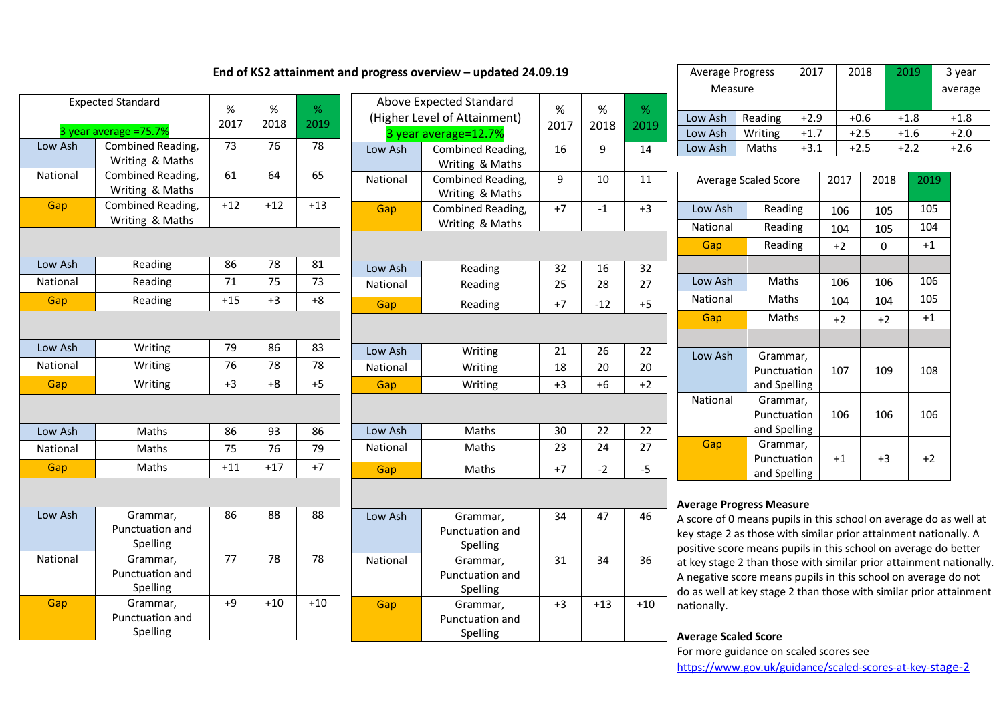| <b>Expected Standard</b> | %                                       | %     | %     |       |
|--------------------------|-----------------------------------------|-------|-------|-------|
| 3 year average =75.7%    | 2017                                    | 2018  | 2019  |       |
| Low Ash                  | Combined Reading,<br>Writing & Maths    | 73    | 76    | 78    |
| National                 | Combined Reading,<br>Writing & Maths    | 61    | 64    | 65    |
| Gap                      | Combined Reading,<br>Writing & Maths    | $+12$ | $+12$ | $+13$ |
|                          |                                         |       |       |       |
| Low Ash                  | Reading                                 | 86    | 78    | 81    |
| National                 | Reading                                 | 71    | 75    | 73    |
| Gap                      | Reading                                 | $+15$ | $+3$  | $+8$  |
|                          |                                         |       |       |       |
| Low Ash                  | Writing                                 | 79    | 86    | 83    |
| National                 | Writing                                 | 76    | 78    | 78    |
| Gap                      | Writing                                 | $+3$  | $+8$  | $+5$  |
|                          |                                         |       |       |       |
| Low Ash                  | Maths                                   | 86    | 93    | 86    |
| National                 | Maths                                   | 75    | 76    | 79    |
| Gap                      | Maths                                   | $+11$ | $+17$ | $+7$  |
|                          |                                         |       |       |       |
| Low Ash                  | Grammar,<br>Punctuation and<br>Spelling | 86    | 88    | 88    |
| National                 | Grammar,<br>Punctuation and<br>Spelling | 77    | 78    | 78    |
| Gap                      | Grammar,<br>Punctuation and<br>Spelling | $+9$  | $+10$ | $+10$ |

# Above Expected Standard (Higher Level of Attainment) 3 year average=12.7% % 2017 % 2018 % 2019 Low Ash Combined Reading, Writing & Maths 16 9 14 National Combined Reading, Writing & Maths 9 10 11 Gap Combined Reading, Writing & Maths  $+7$   $-1$   $+3$ Low Ash Reading  $\begin{array}{|c|c|c|c|c|c|c|c|c|} \hline \end{array}$  Reading  $\begin{array}{|c|c|c|c|c|c|c|c|} \hline \end{array}$  32  $\begin{array}{|c|c|c|c|c|c|} \hline \end{array}$  32 National Reading 25 28 27 Gap Reading  $+7$   $-12$   $+5$ Low Ash Writing 21 26 22 National Writing 18 20 20 Gap Writing  $+3 +6 +2$ Low Ash Maths 30 22 22 National Maths 23 24 27 <mark>Gap |</mark> Maths | +7 | -2 | -5 Low Ash Grammar, 34 47 46

| 8  | 88    | Low Ash  | Grammar,        | 34   | 47    | 46    |
|----|-------|----------|-----------------|------|-------|-------|
|    |       |          | Punctuation and |      |       |       |
|    |       |          | Spelling        |      |       |       |
| 8  | 78    | National | Grammar,        | 31   | 34    | 36    |
|    |       |          | Punctuation and |      |       |       |
|    |       |          | Spelling        |      |       |       |
| LO | $+10$ | Gap      | Grammar,        | $+3$ | $+13$ | $+10$ |
|    |       |          | Punctuation and |      |       |       |
|    |       |          | Spelling        |      |       |       |

| <b>Average Progress</b><br>Measure |         | 2017   | 2018   | 2019   | 3 year<br>average |
|------------------------------------|---------|--------|--------|--------|-------------------|
| Reading<br>Low Ash                 |         | $+2.9$ | $+0.6$ | $+1.8$ | $+1.8$            |
| Low Ash                            | Writing | $+1.7$ | $+2.5$ | $+1.6$ | $+2.0$            |
| Low Ash                            | Maths   | $+3.1$ | $+2.5$ | $+2.2$ | $+2.6$            |

| <b>Average Scaled Score</b> |                                         | 2017 | 2018 | 2019 |
|-----------------------------|-----------------------------------------|------|------|------|
| Low Ash                     | Reading                                 | 106  | 105  | 105  |
| National                    | Reading                                 | 104  | 105  | 104  |
| Gap                         | Reading                                 | $+2$ | 0    | $+1$ |
|                             |                                         |      |      |      |
| Low Ash                     | Maths                                   | 106  | 106  | 106  |
| National                    | Maths                                   | 104  | 104  | 105  |
| Gap                         | Maths                                   | +2   | $+2$ | $+1$ |
|                             |                                         |      |      |      |
| Low Ash                     | Grammar,<br>Punctuation<br>and Spelling | 107  | 109  | 108  |
| National                    | Grammar,<br>Punctuation<br>and Spelling | 106  | 106  | 106  |
| Gap                         | Grammar,<br>Punctuation<br>and Spelling | $+1$ | +3   | $+2$ |

#### **Average Progress Measure**

A score of 0 means pupils in this school on average do as well at key stage 2 as those with similar prior attainment nationally. A positive score means pupils in this school on average do better at key stage 2 than those with similar prior attainment nationally. A negative score means pupils in this school on average do not do as well at key stage 2 than those with similar prior attainment nationally.

### **Average Scaled Score**

For more guidance on scaled scores see https://www.gov.uk/guidance/scaled-scores-at-key-stage-2

### **End of KS2 attainment and progress overview – updated 24.09.19**